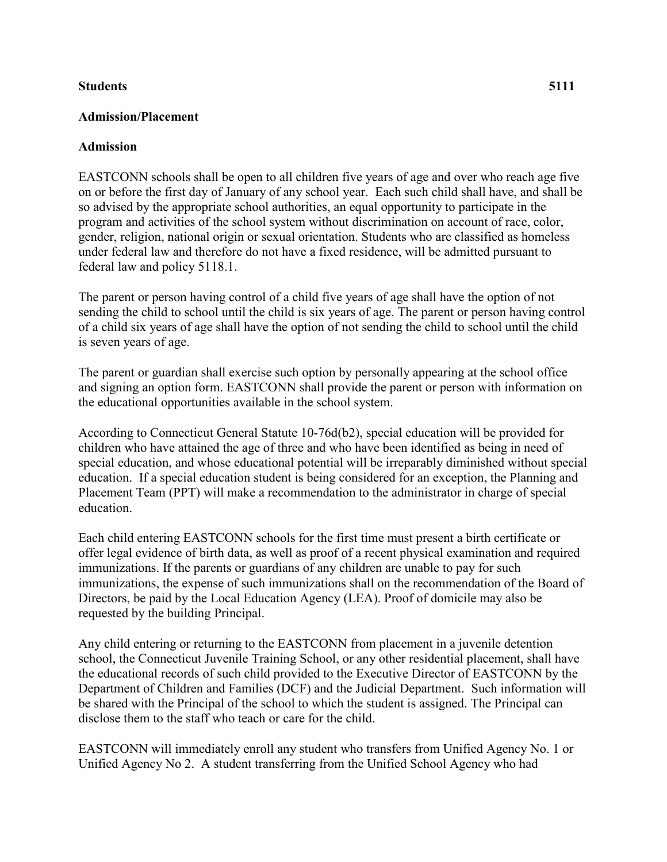## **Students 5111**

## **Admission/Placement**

## **Admission**

EASTCONN schools shall be open to all children five years of age and over who reach age five on or before the first day of January of any school year. Each such child shall have, and shall be so advised by the appropriate school authorities, an equal opportunity to participate in the program and activities of the school system without discrimination on account of race, color, gender, religion, national origin or sexual orientation. Students who are classified as homeless under federal law and therefore do not have a fixed residence, will be admitted pursuant to federal law and policy 5118.1.

The parent or person having control of a child five years of age shall have the option of not sending the child to school until the child is six years of age. The parent or person having control of a child six years of age shall have the option of not sending the child to school until the child is seven years of age.

The parent or guardian shall exercise such option by personally appearing at the school office and signing an option form. EASTCONN shall provide the parent or person with information on the educational opportunities available in the school system.

According to Connecticut General Statute 10-76d(b2), special education will be provided for children who have attained the age of three and who have been identified as being in need of special education, and whose educational potential will be irreparably diminished without special education. If a special education student is being considered for an exception, the Planning and Placement Team (PPT) will make a recommendation to the administrator in charge of special education.

Each child entering EASTCONN schools for the first time must present a birth certificate or offer legal evidence of birth data, as well as proof of a recent physical examination and required immunizations. If the parents or guardians of any children are unable to pay for such immunizations, the expense of such immunizations shall on the recommendation of the Board of Directors, be paid by the Local Education Agency (LEA). Proof of domicile may also be requested by the building Principal.

Any child entering or returning to the EASTCONN from placement in a juvenile detention school, the Connecticut Juvenile Training School, or any other residential placement, shall have the educational records of such child provided to the Executive Director of EASTCONN by the Department of Children and Families (DCF) and the Judicial Department. Such information will be shared with the Principal of the school to which the student is assigned. The Principal can disclose them to the staff who teach or care for the child.

EASTCONN will immediately enroll any student who transfers from Unified Agency No. 1 or Unified Agency No 2. A student transferring from the Unified School Agency who had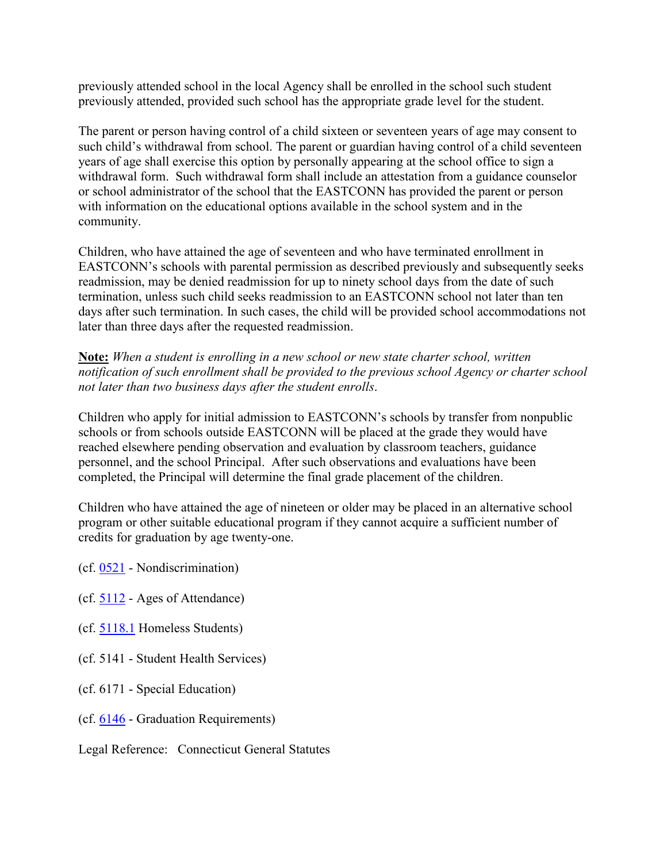previously attended school in the local Agency shall be enrolled in the school such student previously attended, provided such school has the appropriate grade level for the student.

The parent or person having control of a child sixteen or seventeen years of age may consent to such child's withdrawal from school. The parent or guardian having control of a child seventeen years of age shall exercise this option by personally appearing at the school office to sign a withdrawal form. Such withdrawal form shall include an attestation from a guidance counselor or school administrator of the school that the EASTCONN has provided the parent or person with information on the educational options available in the school system and in the community.

Children, who have attained the age of seventeen and who have terminated enrollment in EASTCONN's schools with parental permission as described previously and subsequently seeks readmission, may be denied readmission for up to ninety school days from the date of such termination, unless such child seeks readmission to an EASTCONN school not later than ten days after such termination. In such cases, the child will be provided school accommodations not later than three days after the requested readmission.

**Note:** *When a student is enrolling in a new school or new state charter school, written notification of such enrollment shall be provided to the previous school Agency or charter school not later than two business days after the student enrolls*.

Children who apply for initial admission to EASTCONN's schools by transfer from nonpublic schools or from schools outside EASTCONN will be placed at the grade they would have reached elsewhere pending observation and evaluation by classroom teachers, guidance personnel, and the school Principal. After such observations and evaluations have been completed, the Principal will determine the final grade placement of the children.

Children who have attained the age of nineteen or older may be placed in an alternative school program or other suitable educational program if they cannot acquire a sufficient number of credits for graduation by age twenty-one.

- (cf. [0521](http://z2policy.cabe.org/cabe/DocViewer.jsp?docid=10&z2collection=core#JD_0521) Nondiscrimination)
- (cf. [5112](http://z2policy.cabe.org/cabe/DocViewer.jsp?docid=229&z2collection=core#JD_5112) Ages of Attendance)
- (cf. [5118.1](http://z2policy.cabe.org/cabe/DocViewer.jsp?docid=248&z2collection=core#JD_5118.1) Homeless Students)
- (cf. 5141 Student Health Services)
- (cf. 6171 Special Education)
- (cf. [6146](http://z2policy.cabe.org/cabe/DocViewer.jsp?docid=398&z2collection=core#JD_6146) Graduation Requirements)

Legal Reference: Connecticut General Statutes